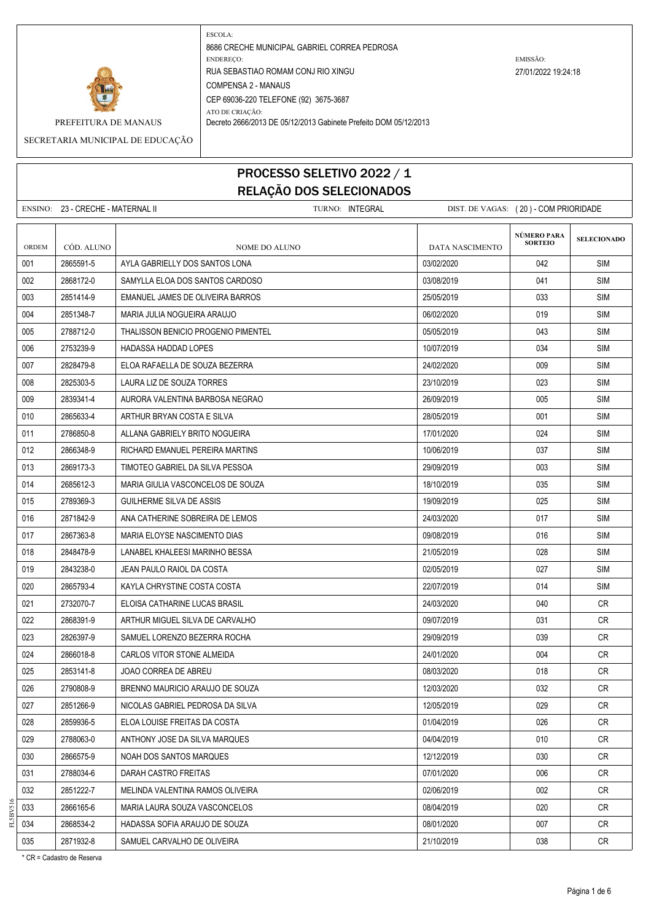

PREFEITURA DE MANAUS Decreto 2666/2013 DE 05/12/2013 Gabinete Prefeito DOM 05/12/2013

SECRETARIA MUNICIPAL DE EDUCAÇÃO

### PROCESSO SELETIVO 2022 / 1 RELAÇÃO DOS SELECIONADOS

|       | ENSINO: 23 - CRECHE - MATERNAL II |                                     | TURNO: <b>INTEGRAL</b> | DIST. DE VAGAS: (20) - COM PRIORIDADE |                               |                    |
|-------|-----------------------------------|-------------------------------------|------------------------|---------------------------------------|-------------------------------|--------------------|
| ORDEM | CÓD. ALUNO                        | NOME DO ALUNO                       |                        | <b>DATA NASCIMENTO</b>                | NÚMERO PARA<br><b>SORTEIO</b> | <b>SELECIONADO</b> |
| 001   | 2865591-5                         | AYLA GABRIELLY DOS SANTOS LONA      |                        | 03/02/2020                            | 042                           | SIM                |
| 002   | 2868172-0                         | SAMYLLA ELOA DOS SANTOS CARDOSO     |                        | 03/08/2019                            | 041                           | <b>SIM</b>         |
| 003   | 2851414-9                         | EMANUEL JAMES DE OLIVEIRA BARROS    |                        | 25/05/2019                            | 033                           | SIM                |
| 004   | 2851348-7                         | MARIA JULIA NOGUEIRA ARAUJO         |                        | 06/02/2020                            | 019                           | <b>SIM</b>         |
| 005   | 2788712-0                         | THALISSON BENICIO PROGENIO PIMENTEL |                        | 05/05/2019                            | 043                           | <b>SIM</b>         |
| 006   | 2753239-9                         | <b>HADASSA HADDAD LOPES</b>         |                        | 10/07/2019                            | 034                           | SIM                |
| 007   | 2828479-8                         | ELOA RAFAELLA DE SOUZA BEZERRA      |                        | 24/02/2020                            | 009                           | <b>SIM</b>         |
| 008   | 2825303-5                         | LAURA LIZ DE SOUZA TORRES           |                        | 23/10/2019                            | 023                           | SIM                |
| 009   | 2839341-4                         | AURORA VALENTINA BARBOSA NEGRAO     |                        | 26/09/2019                            | 005                           | <b>SIM</b>         |
| 010   | 2865633-4                         | ARTHUR BRYAN COSTA E SILVA          |                        | 28/05/2019                            | 001                           | <b>SIM</b>         |
| 011   | 2786850-8                         | ALLANA GABRIELY BRITO NOGUEIRA      |                        | 17/01/2020                            | 024                           | SIM                |
| 012   | 2866348-9                         | RICHARD EMANUEL PEREIRA MARTINS     |                        | 10/06/2019                            | 037                           | <b>SIM</b>         |
| 013   | 2869173-3                         | TIMOTEO GABRIEL DA SILVA PESSOA     |                        | 29/09/2019                            | 003                           | SIM                |
| 014   | 2685612-3                         | MARIA GIULIA VASCONCELOS DE SOUZA   |                        | 18/10/2019                            | 035                           | <b>SIM</b>         |
| 015   | 2789369-3                         | GUILHERME SILVA DE ASSIS            |                        | 19/09/2019                            | 025                           | <b>SIM</b>         |
| 016   | 2871842-9                         | ANA CATHERINE SOBREIRA DE LEMOS     |                        | 24/03/2020                            | 017                           | <b>SIM</b>         |
| 017   | 2867363-8                         | MARIA ELOYSE NASCIMENTO DIAS        |                        | 09/08/2019                            | 016                           | <b>SIM</b>         |
| 018   | 2848478-9                         | LANABEL KHALEESI MARINHO BESSA      |                        | 21/05/2019                            | 028                           | SIM                |
| 019   | 2843238-0                         | JEAN PAULO RAIOL DA COSTA           |                        | 02/05/2019                            | 027                           | <b>SIM</b>         |
| 020   | 2865793-4                         | KAYLA CHRYSTINE COSTA COSTA         |                        | 22/07/2019                            | 014                           | <b>SIM</b>         |
| 021   | 2732070-7                         | ELOISA CATHARINE LUCAS BRASIL       |                        | 24/03/2020                            | 040                           | CR.                |
| 022   | 2868391-9                         | ARTHUR MIGUEL SILVA DE CARVALHO     |                        | 09/07/2019                            | 031                           | CR                 |
| 023   | 2826397-9                         | SAMUEL LORENZO BEZERRA ROCHA        |                        | 29/09/2019                            | 039                           | CR.                |
| 024   | 2866018-8                         | CARLOS VITOR STONE ALMEIDA          |                        | 24/01/2020                            | 004                           | <b>CR</b>          |
| 025   | 2853141-8                         | JOAO CORREA DE ABREU                |                        | 08/03/2020                            | 018                           | CR                 |
| 026   | 2790808-9                         | BRENNO MAURICIO ARAUJO DE SOUZA     |                        | 12/03/2020                            | 032                           | CR                 |
| 027   | 2851266-9                         | NICOLAS GABRIEL PEDROSA DA SILVA    |                        | 12/05/2019                            | 029                           | CR                 |
| 028   | 2859936-5                         | ELOA LOUISE FREITAS DA COSTA        |                        | 01/04/2019                            | 026                           | CR                 |
| 029   | 2788063-0                         | ANTHONY JOSE DA SILVA MARQUES       |                        | 04/04/2019                            | 010                           | CR                 |
| 030   | 2866575-9                         | NOAH DOS SANTOS MARQUES             |                        | 12/12/2019                            | 030                           | <b>CR</b>          |
| 031   | 2788034-6                         | DARAH CASTRO FREITAS                |                        | 07/01/2020                            | 006                           | CR                 |
| 032   | 2851222-7                         | MELINDA VALENTINA RAMOS OLIVEIRA    |                        | 02/06/2019                            | 002                           | CR                 |
| 033   | 2866165-6                         | MARIA LAURA SOUZA VASCONCELOS       |                        | 08/04/2019                            | 020                           | CR                 |
| 034   | 2868534-2                         | HADASSA SOFIA ARAUJO DE SOUZA       |                        | 08/01/2020                            | 007                           | CR                 |
| 035   | 2871932-8                         | SAMUEL CARVALHO DE OLIVEIRA         |                        | 21/10/2019                            | 038                           | CR                 |

\* CR = Cadastro de Reserva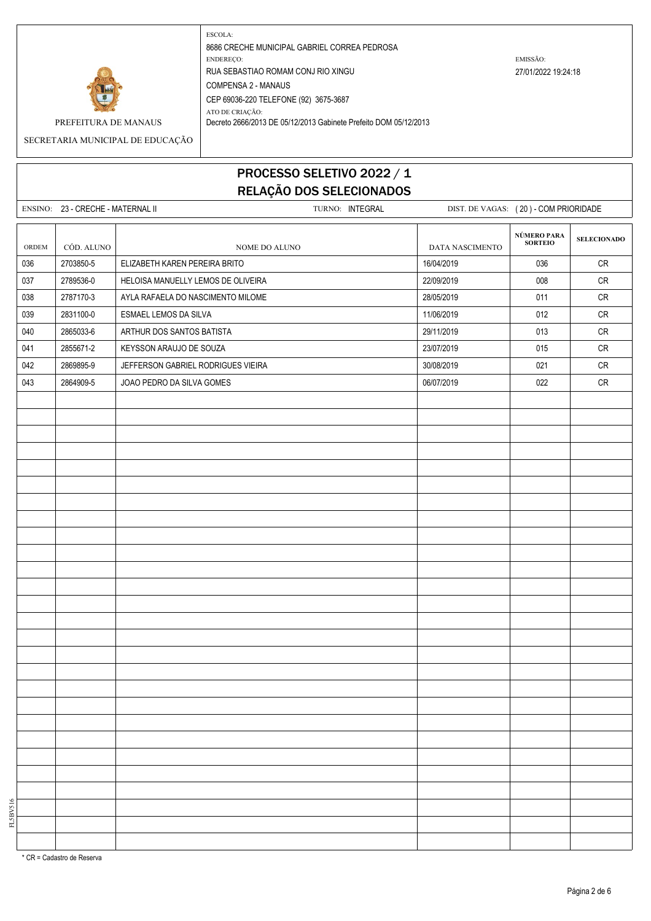

PREFEITURA DE MANAUS Decreto 2666/2013 DE 05/12/2013 Gabinete Prefeito DOM 05/12/2013

SECRETARIA MUNICIPAL DE EDUCAÇÃO

# PROCESSO SELETIVO 2022 / 1 RELAÇÃO DOS SELECIONADOS

|       | ENSINO: 23 - CRECHE - MATERNAL II |                                    | TURNO: INTEGRAL |                 | DIST. DE VAGAS: (20) - COM PRIORIDADE |                    |
|-------|-----------------------------------|------------------------------------|-----------------|-----------------|---------------------------------------|--------------------|
| ORDEM | CÓD. ALUNO                        | NOME DO ALUNO                      |                 | DATA NASCIMENTO | NÚMERO PARA<br><b>SORTEIO</b>         | <b>SELECIONADO</b> |
| 036   | 2703850-5                         | ELIZABETH KAREN PEREIRA BRITO      |                 | 16/04/2019      | 036                                   | CR                 |
| 037   | 2789536-0                         | HELOISA MANUELLY LEMOS DE OLIVEIRA |                 | 22/09/2019      | 008                                   | ${\sf CR}$         |
| 038   | 2787170-3                         | AYLA RAFAELA DO NASCIMENTO MILOME  |                 | 28/05/2019      | 011                                   | ${\sf CR}$         |
| 039   | 2831100-0                         | ESMAEL LEMOS DA SILVA              |                 | 11/06/2019      | 012                                   | ${\sf CR}$         |
| 040   | 2865033-6                         | ARTHUR DOS SANTOS BATISTA          |                 | 29/11/2019      | 013                                   | ${\sf CR}$         |
| 041   | 2855671-2                         | KEYSSON ARAUJO DE SOUZA            |                 | 23/07/2019      | 015                                   | CR                 |
| 042   | 2869895-9                         | JEFFERSON GABRIEL RODRIGUES VIEIRA |                 | 30/08/2019      | 021                                   | CR                 |
| 043   | 2864909-5                         | JOAO PEDRO DA SILVA GOMES          |                 | 06/07/2019      | 022                                   | ${\sf CR}$         |
|       |                                   |                                    |                 |                 |                                       |                    |
|       |                                   |                                    |                 |                 |                                       |                    |
|       |                                   |                                    |                 |                 |                                       |                    |
|       |                                   |                                    |                 |                 |                                       |                    |
|       |                                   |                                    |                 |                 |                                       |                    |
|       |                                   |                                    |                 |                 |                                       |                    |
|       |                                   |                                    |                 |                 |                                       |                    |
|       |                                   |                                    |                 |                 |                                       |                    |
|       |                                   |                                    |                 |                 |                                       |                    |
|       |                                   |                                    |                 |                 |                                       |                    |
|       |                                   |                                    |                 |                 |                                       |                    |
|       |                                   |                                    |                 |                 |                                       |                    |
|       |                                   |                                    |                 |                 |                                       |                    |
|       |                                   |                                    |                 |                 |                                       |                    |
|       |                                   |                                    |                 |                 |                                       |                    |
|       |                                   |                                    |                 |                 |                                       |                    |
|       |                                   |                                    |                 |                 |                                       |                    |
|       |                                   |                                    |                 |                 |                                       |                    |
|       |                                   |                                    |                 |                 |                                       |                    |
|       |                                   |                                    |                 |                 |                                       |                    |
|       |                                   |                                    |                 |                 |                                       |                    |
|       |                                   |                                    |                 |                 |                                       |                    |
|       |                                   |                                    |                 |                 |                                       |                    |
|       |                                   |                                    |                 |                 |                                       |                    |
|       |                                   |                                    |                 |                 |                                       |                    |
|       |                                   |                                    |                 |                 |                                       |                    |
|       |                                   |                                    |                 |                 |                                       |                    |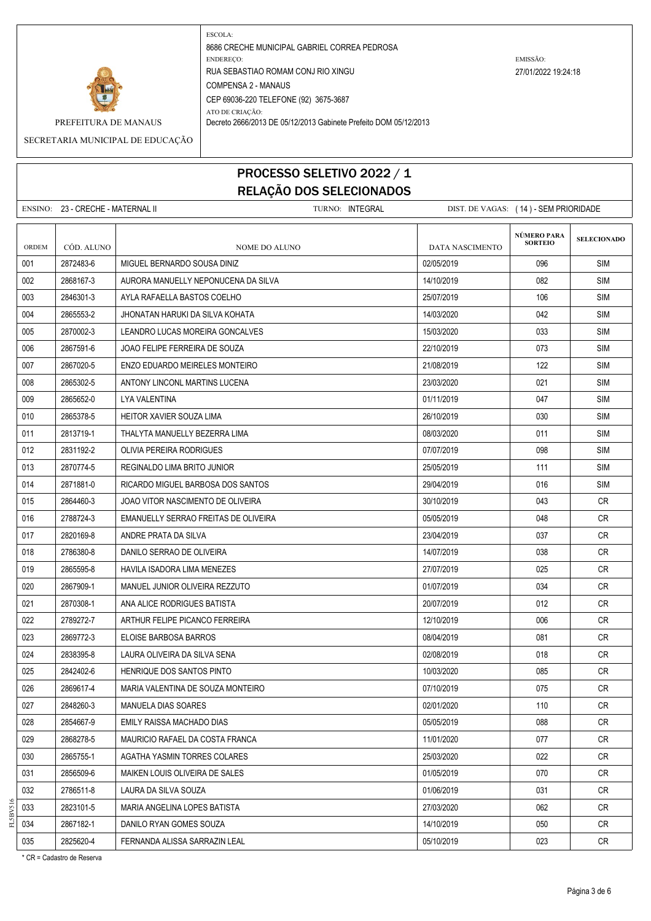

PREFEITURA DE MANAUS | Decreto 2666/2013 DE 05/12/2013 Gabinete Prefeito DOM 05/12/2013

SECRETARIA MUNICIPAL DE EDUCAÇÃO

### PROCESSO SELETIVO 2022 / 1 RELAÇÃO DOS SELECIONADOS

ENSINO: 23 - CRECHE - MATERNAL II TURNO: INTEGRAL DIST. DE VAGAS: ( 14 ) - SEM PRIORIDADE **SELECIONADO** ORDEM CÓD. ALUNO **NOME DO ALUNO** NOME DO ALUNO DATA NASCIMENTO 001 2872483-6 MIGUEL BERNARDO SOUSA DINIZ 02/05/2019 SIM 002 2868167-3 AURORA MANUELLY NEPONUCENA DA SILVA 14/10/2019 082 SIM 003 2846301-3 AYLA RAFAELLA BASTOS COELHO 25/07/2019 106 SIM 004 2865553-2 J.HONATAN HARUKI DA SILVA KOHATA 14/03/2020 | 14/03/2020 | 042 SIM 005 2870002-3 LEANDRO LUCAS MOREIRA GONCALVES 15/03/2020 033 SIM 006 2867591-6 JOAO FELIPE FERREIRA DE SOUZA 22/10/2019 SIM 007 2867020-5 ENZO EDUARDO MEIRELES MONTEIRO 21/08/2019 21/08/2019 21/08/2019 21/08 008 23/03/2020 | ANTONY LINCONL MARTINS LUCENA 23/03/2020 | 23/03/2020 | 23/03/2020 | 23/03 009 2865652-0 LYA VALENTINA 01/11/2019 047 SIM 010 2865378-5 HEITOR XAVIER SOUZA LIMA 26/10/2019 030 SIM 011 2813719-1 THALYTA MANUELLY BEZERRA LIMA 08/03/2020 011 SIM 012 2831192-2 OLIVIA PEREIRA RODRIGUES 07/07/2019 098 SIM 013 2870774-5 REGINALDO LIMA BRITO JUNIOR 25/05/2019 25/05/2019 111 SIM 014 2871881-0 RICARDO MIGUEL BARBOSA DOS SANTOS 29/04/2019 016 SIM 015 2864460-3 JOAO VITOR NASCIMENTO DE OLIVEIRA 30/10/2019 30/10/2019 143 CR 016 2788724-3 EMANUELLY SERRAO FREITAS DE OLIVEIRA DE REITAS DE OLIVEIRA DE SONTE A CONSTRUIT DE CRETA DE CRE 017 2820169-8 ANDRE PRATA DA SILVA 23/04/2019 23/04/2019 23/04/2019 23/04/2019 018 2786380-8 DANILO SERRAO DE OLIVEIRA 14/07/2019 | 14/07/2019 | 038 | CR 019 2865595-8 HAVILA ISADORA LIMA MENEZES 27/07/2019 27/07/2019 2865595-8 CR 020 2867909-1 MANUEL JUNIOR OLIVEIRA REZZUTO 01/07/2019 034 CR 021 2870308-1 ANA ALICE RODRIGUES BATISTA 2007 2019 20/07/2019 20/07/2019 012 CR 022 2789272-7 ARTHUR FELIPE PICANCO FERREIRA 12000000 12/10/2019 12/10/2019 006 CR 023 2869772-3 ELOISE BARBOSA BARROS 08/04/2019 CR 024 2838395-8 LAURA OLIVEIRA DA SILVA SENA 02/08/2019 018 CR 025 2842402-6 HENRIQUE DOS SANTOS PINTO NEWSLEY AND RELATED A LONG 10/03/2020 NEWSLEY D85 CR 026 2869617-4 MARIA VALENTINA DE SOUZA MONTEIRO 07/10/2019 075 CR 027 2848260-3 MANUELA DIAS SOARES 02/01/2020 110 CR 028 2854667-9 EMILY RAISSA MACHADO DIAS 05/05/2019 088 CR 029 2868278-5 MAURICIO RAFAEL DA COSTA FRANCA 11/01/2020 11/01/2020 077 CR 030 2865755-1 | AGATHA YASMIN TORRES COLARES 25/03/2020 | 25/03/2020 | 25/03/2020 | 25/03/2020 | CR 031 2856509-6 MAIKEN LOUIS OLIVEIRA DE SALES 01/05/2019 CR 032 2786511-8 LAURA DA SILVA SOUZA 01/06/2019 031 CR 033 2823101-5 MARIA ANGELINA LOPES BATISTA 27/03/2020 CR 034 2867182-1 DANILO RYAN GOMES SOUZA 14/10/2019 | 14/10/2019 | 050 | CR 035 2825620-4 FERNANDA ALISSA SARRAZIN LEAL 05/10/2019 023 CR **NÚMERO PARA SORTEIO**

\* CR = Cadastro de Reserva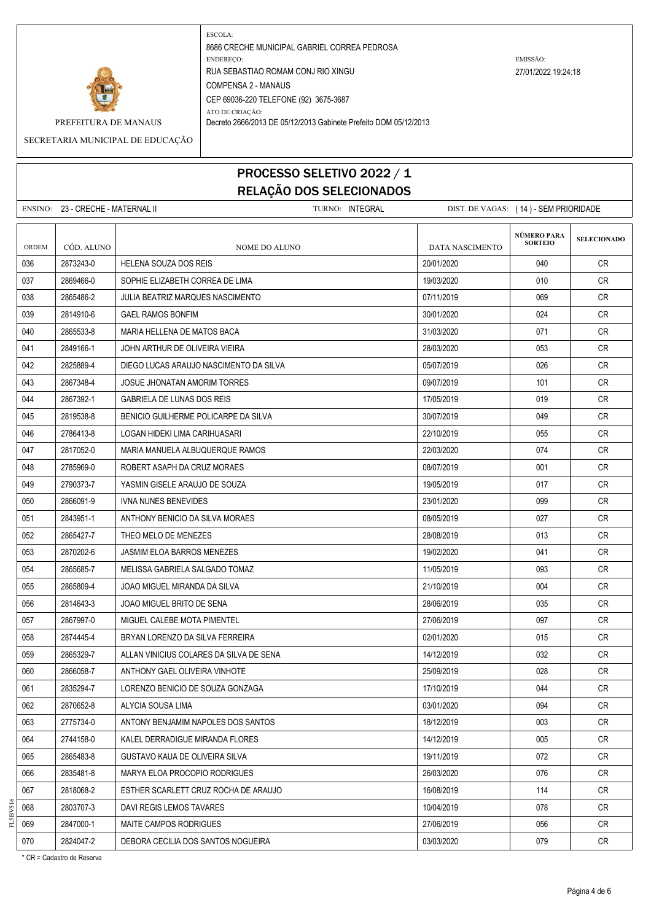

PREFEITURA DE MANAUS | Decreto 2666/2013 DE 05/12/2013 Gabinete Prefeito DOM 05/12/2013

SECRETARIA MUNICIPAL DE EDUCAÇÃO

### PROCESSO SELETIVO 2022 / 1 RELAÇÃO DOS SELECIONADOS

ENSINO: 23 - CRECHE - MATERNAL II TURNO: INTEGRAL DIST. DE VAGAS: ( 14 ) - SEM PRIORIDADE **SELECIONADO** ORDEM CÓD. ALUNO **NOME DO ALUNO** NOME DO ALUNO DATA NASCIMENTO 036 2873243-0 HELENA SOUZA DOS REIS 20/01/2020 040 CR 037 2869466-0 SOPHIE ELIZABETH CORREA DE LIMA 19/03/2020 19/03/2020 010 CR 038 2865486-2 JULIA BEATRIZ MARQUES NASCIMENTO 07/11/2019 CR 039 2814910-6 GAEL RAMOS BONFIM 30/01/2020 024 CR 040 2865533-8 MARIA HELLENA DE MATOS BACA 31/03/2020 071 CR 041 2849166-1 JOHN ARTHUR DE OLIVEIRA VIEIRA 28/03/2020 200 28/03/2020 200 28/03/2020 042 2825889-4 DIEGO LUCAS ARAUJO NASCIMENTO DA SILVA 05/07/2019 026 CR 043 2867348-4 JOSUE JHONATAN AMORIM TORRES 09/07/2019 101 CR 044 2867392-1 GABRIELA DE LUNAS DOS REIS 17/05/2019 17/05/2019 19:00 019 CR 045 2819538-8 BENICIO GUILHERME POLICARPE DA SILVA 30/07/2019 30/07/2019 2019 049 CR 046 2786413-8 LOGAN HIDEKI LIMA CARIHUASARI 22/10/2019 055 CR 047 2817052-0 MARIA MANUELA ALBUQUERQUE RAMOS 22/03/2020 074 CR 048 2785969-0 ROBERT ASAPH DA CRUZ MORAES 08/07/2019 CR 049 2790373-7 YASMIN GISELE ARAUJO DE SOUZA 19/05/2019 19/05/2019 19/05/2019 017 CR 050 2866091-9 IVNA NUNES BENEVIDES 2001/2020 23/01/2020 99 OR 051 2843951-1 ANTHONY BENICIO DA SILVA MORAES 08/05/2019 027 CR 052 2865427-7 THEO MELO DE MENEZES 28/08/2019 28/08/2019 28/08/2019 13 CR 053 2870202-6 JASMIM ELOA BARROS MENEZES 19/02/2020 CR 054 2865685-7 MELISSA GABRIELA SALGADO TOMAZ 11/05/2019 093 CR 055 2865809-4 JOAO MIGUEL MIRANDA DA SILVA 21/10/2019 CR 056 2814643-3 JOAO MIGUEL BRITO DE SENA 28/06/2019 28/06/2019 135 CR 057 2867997-0 MIGUEL CALEBE MOTA PIMENTEL 27/06/2019 27/06/2019 2010 097 CR 058 2874445-4 BRYAN LORENZO DA SILVA FERREIRA 02/01/2020 015 CR 059 2865329-7 ALLAN VINICIUS COLARES DA SILVA DE SENA 14/12/2019 14/12/2019 132 CR 060 2866058-7 ANTHONY GAEL OLIVEIRA VINHOTE 25/09/2019 CR 061 2835294-7 LORENZO BENICIO DE SOUZA GONZAGA 17/10/2019 CR 062 2870652-8 ALYCIA SOUSA LIMA 03/01/2020 094 CR 063 2775734-0 ANTONY BENJAMIM NAPOLES DOS SANTOS 18/12/2019 CR 064 2744158-0 KALEL DERRADIGUE MIRANDA FLORES 1999 - 14/12/2019 14/12/2019 005 CR 065 2865483-8 GUSTAVO KAUA DE OLIVEIRA SILVA 19/11/2019 CR 066 2835481-8 MARYA ELOA PROCOPIO RODRIGUES 26/03/2020 CR 067 2818068-2 ESTHER SCARLETT CRUZ ROCHA DE ARAUJO 1 16/08/2019 CR 068 2803707-3 DAVI REGIS LEMOS TAVARES 1000-1000 1000-12019 10/04/2019 078 CR 069 2847000-1 MAITE CAMPOS RODRIGUES 27/06/2019 27/06/2019 27/06/2019 056 CR 070 2824047-2 DEBORA CECILIA DOS SANTOS NOGUEIRA 03/03/2020 079 CR **NÚMERO PARA SORTEIO**

\* CR = Cadastro de Reserva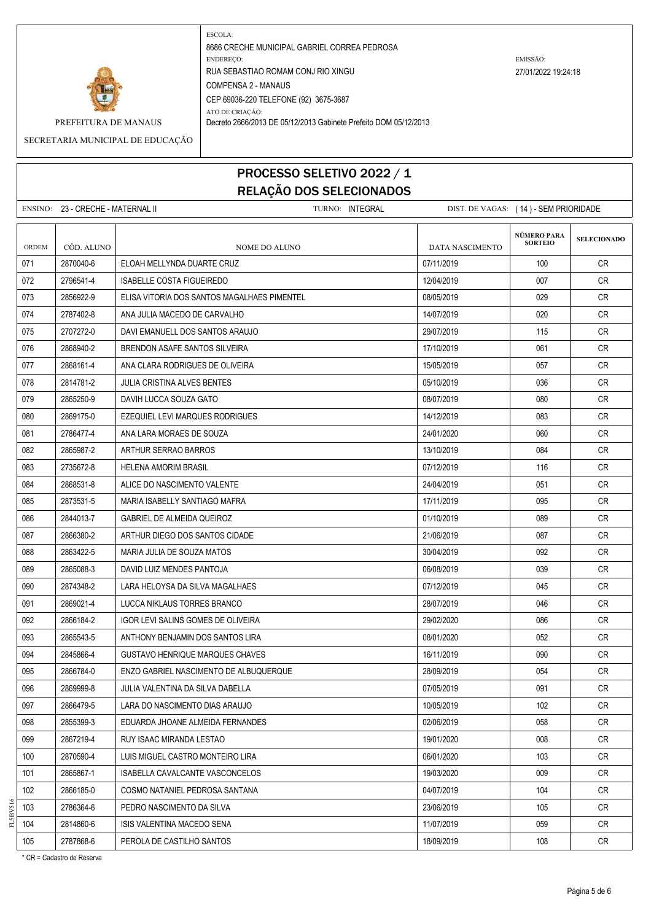

PREFEITURA DE MANAUS | Decreto 2666/2013 DE 05/12/2013 Gabinete Prefeito DOM 05/12/2013

SECRETARIA MUNICIPAL DE EDUCAÇÃO

### PROCESSO SELETIVO 2022 / 1 RELAÇÃO DOS SELECIONADOS

ENSINO: 23 - CRECHE - MATERNAL II TURNO: INTEGRAL DIST. DE VAGAS: ( 14 ) - SEM PRIORIDADE **SELECIONADO** ORDEM CÓD. ALUNO **NOME DO ALUNO** NOME DO ALUNO DATA NASCIMENTO 071 2870040-6 ELOAH MELLYNDA DUARTE CRUZ 07/11/2019 CR 072 2796541-4 ISABELLE COSTA FIGUEIREDO 12/04/2019 007 CR 073 2856922-9 ELISA VITORIA DOS SANTOS MAGALHAES PIMENTEL CHE CONTENTING OS/05/2019 CR CRETA DO CRETA CRETA CR 074 2787402-8 ANA JULIA MACEDO DE CARVALHO 14/07/2019 14/07/2019 14/07/2019 020 CR 075 2707272-0 DAVI EMANUELL DOS SANTOS ARAILIO 29/07/2019 29/07/2019 115 CR 076 2868940-2 BRENDON ASAFE SANTOS SILVEIRA 17/10/2019 | 061 | CR 077 2868161-4 ANA CLARA RODRIGUES DE OLIVEIRA 15/05/2019 15/05/2019 15/05/2019 057 CR 078 2814781-2 JULIA CRISTINA ALVES BENTES 05/10/2019 036 CR 079 2865250-9 DAVIH LUCCA SOUZA GATO 08/07/2019 CR 080 2869175-0 EZEQUIEL LEVI MARQUES RODRIGUES 14/12/2019 083 CR 081 2786477-4 ANA LARA MORAES DE SOUZA 24/01/2020 2000 060 CR 082 2865987-2 ARTHUR SERRAO BARROS 13/10/2019 CR 083 2735672-8 HELENA AMORIM BRASIL 07/12/2019 116 CR 084 2868531-8 ALICE DO NASCIMENTO VALENTE 24/04/2019 CR 085 2873531-5 MARIA ISABELLY SANTIAGO MAFRA 1990 1991 17/11/2019 1995 095 CR 086 2844013-7 GABRIEL DE ALMEIDA QUEIROZ 01/10/2019 CR 087 2866380-2 ARTHUR DIEGO DOS SANTOS CIDADE 21/06/2019 21/06/2019 21/06/2019 2066380-2 CR 088 2863422-5 MARIA JULIA DE SOUZA MATOS 30/04/2019 092 CR 089 2865088-3 DAVID LUIZ MENDES PANTOJA 06/08/2019 039 CR 090 2874348-2 LARA HELOYSA DA SILVA MAGALHAES 07/12/2019 045 CR 091 2869021-4 LUCCA NIKLAUS TORRES BRANCO 2009 28/07/2019 28/07/2019 28/07/2019 28/07/2019 092 2866184-2 IGOR LEVI SALINS GOMES DE OLIVEIRA 29/02/2020 29/02/2020 29/02/2020 29/02 093 2865543-5 ANTHONY BENJAMIN DOS SANTOS LIRA 08/01/2020 CR 094 2845866-4 GUSTAVO HENRIQUE MARQUES CHAVES 1600 CR 16/11/2019 16/11/2019 090 CR 095 2866784-0 ENZO GABRIEL NASCIMENTO DE ALBUQUERQUE 28/09/2019 054 CR 096 2869999-8 JULIA VALENTINA DA SILVA DABELLA 07/05/2019 091 CR 097 2866479-5 LARA DO NASCIMENTO DIAS ARAUJO 10/05/2019 102 CR 098 2855399-3 EDUARDA JHOANE ALMEIDA FERNANDES 02/06/2019 058 CR 099 2867219-4 RUY ISAAC MIRANDA LESTAO 1999 20020 19/01/2020 2008 CR 100 2870590-4 LUIS MIGUEL CASTRO MONTEIRO LIRA 06/01/2020 103 CR 101 2865867-1 ISABELLA CAVALCANTE VASCONCELOS 19/03/2020 009 CR 102 2866185-0 COSMO NATANIEL PEDROSA SANTANA 1999 COSMO NATANIEL PEDROSA SANTANA 1999 COSMO NATANIEL PEDROSA SANTANA 103 2786364-6 PEDRO NASCIMENTO DA SILVA 23/06/2019 105 CR 104 2814860-6 ISIS VALENTINA MACEDO SENA 11/07/2019 059 CR 105 2787868-6 PEROLA DE CASTILHO SANTOS 2009 18/09/2019 108 CR **NÚMERO PARA SORTEIO**

\* CR = Cadastro de Reserva